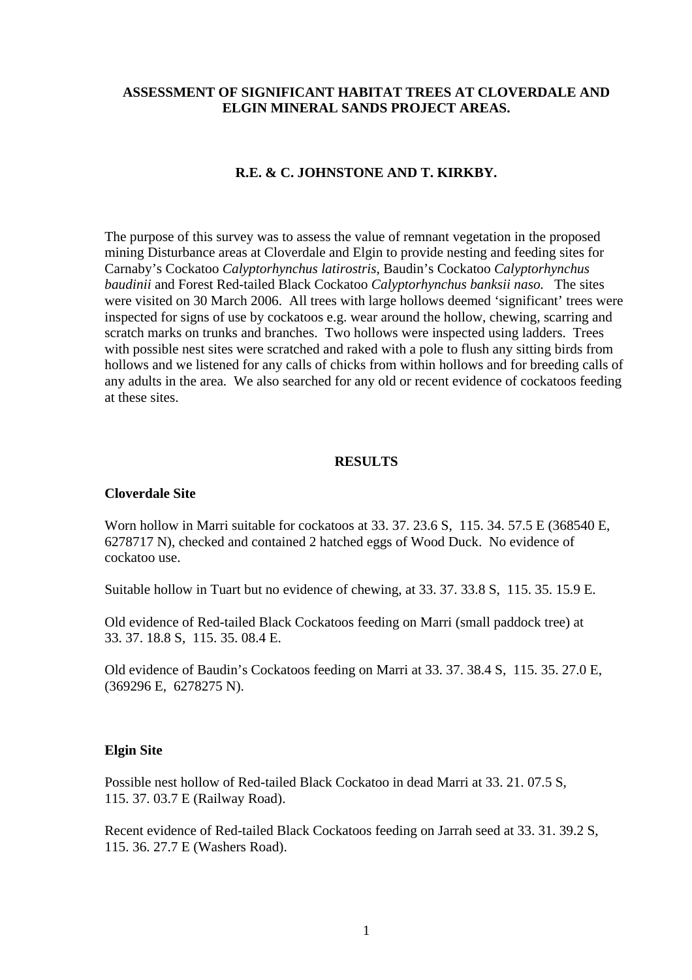### **ASSESSMENT OF SIGNIFICANT HABITAT TREES AT CLOVERDALE AND ELGIN MINERAL SANDS PROJECT AREAS.**

# **R.E. & C. JOHNSTONE AND T. KIRKBY.**

The purpose of this survey was to assess the value of remnant vegetation in the proposed mining Disturbance areas at Cloverdale and Elgin to provide nesting and feeding sites for Carnaby's Cockatoo *Calyptorhynchus latirostris*, Baudin's Cockatoo *Calyptorhynchus baudinii* and Forest Red-tailed Black Cockatoo *Calyptorhynchus banksii naso.* The sites were visited on 30 March 2006. All trees with large hollows deemed 'significant' trees were inspected for signs of use by cockatoos e.g. wear around the hollow, chewing, scarring and scratch marks on trunks and branches. Two hollows were inspected using ladders. Trees with possible nest sites were scratched and raked with a pole to flush any sitting birds from hollows and we listened for any calls of chicks from within hollows and for breeding calls of any adults in the area. We also searched for any old or recent evidence of cockatoos feeding at these sites.

#### **RESULTS**

#### **Cloverdale Site**

Worn hollow in Marri suitable for cockatoos at 33. 37. 23.6 S, 115. 34. 57.5 E (368540 E, 6278717 N), checked and contained 2 hatched eggs of Wood Duck. No evidence of cockatoo use.

Suitable hollow in Tuart but no evidence of chewing, at 33. 37. 33.8 S, 115. 35. 15.9 E.

Old evidence of Red-tailed Black Cockatoos feeding on Marri (small paddock tree) at 33. 37. 18.8 S, 115. 35. 08.4 E.

Old evidence of Baudin's Cockatoos feeding on Marri at 33. 37. 38.4 S, 115. 35. 27.0 E, (369296 E, 6278275 N).

### **Elgin Site**

Possible nest hollow of Red-tailed Black Cockatoo in dead Marri at 33. 21. 07.5 S, 115. 37. 03.7 E (Railway Road).

Recent evidence of Red-tailed Black Cockatoos feeding on Jarrah seed at 33. 31. 39.2 S, 115. 36. 27.7 E (Washers Road).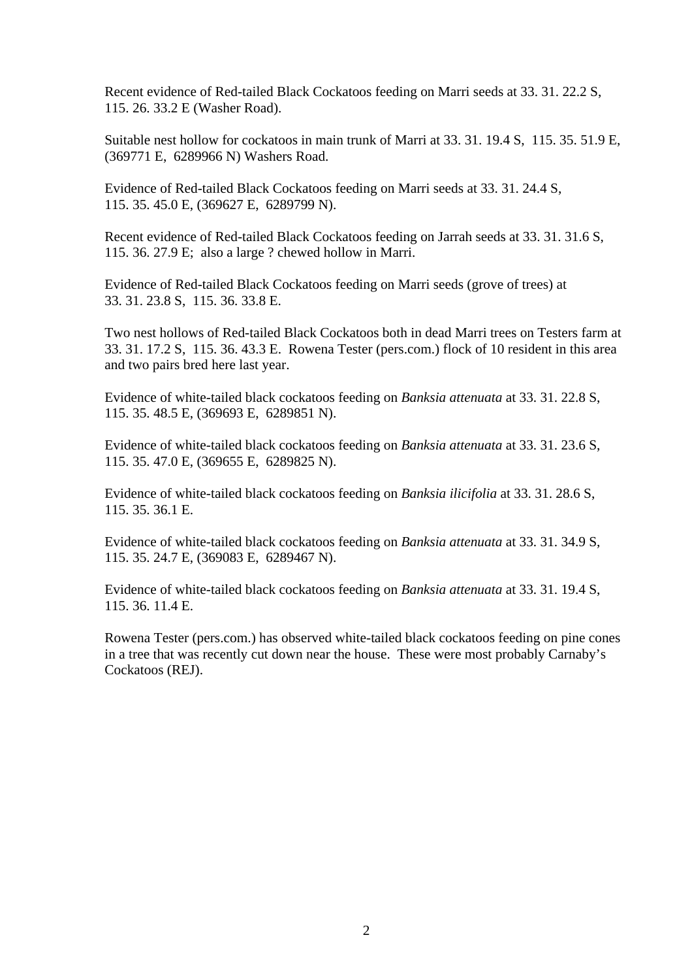Recent evidence of Red-tailed Black Cockatoos feeding on Marri seeds at 33. 31. 22.2 S, 115. 26. 33.2 E (Washer Road).

Suitable nest hollow for cockatoos in main trunk of Marri at 33. 31. 19.4 S, 115. 35. 51.9 E, (369771 E, 6289966 N) Washers Road.

Evidence of Red-tailed Black Cockatoos feeding on Marri seeds at 33. 31. 24.4 S, 115. 35. 45.0 E, (369627 E, 6289799 N).

Recent evidence of Red-tailed Black Cockatoos feeding on Jarrah seeds at 33. 31. 31.6 S, 115. 36. 27.9 E; also a large ? chewed hollow in Marri.

Evidence of Red-tailed Black Cockatoos feeding on Marri seeds (grove of trees) at 33. 31. 23.8 S, 115. 36. 33.8 E.

Two nest hollows of Red-tailed Black Cockatoos both in dead Marri trees on Testers farm at 33. 31. 17.2 S, 115. 36. 43.3 E. Rowena Tester (pers.com.) flock of 10 resident in this area and two pairs bred here last year.

Evidence of white-tailed black cockatoos feeding on *Banksia attenuata* at 33. 31. 22.8 S, 115. 35. 48.5 E, (369693 E, 6289851 N).

Evidence of white-tailed black cockatoos feeding on *Banksia attenuata* at 33. 31. 23.6 S, 115. 35. 47.0 E, (369655 E, 6289825 N).

Evidence of white-tailed black cockatoos feeding on *Banksia ilicifolia* at 33. 31. 28.6 S, 115. 35. 36.1 E.

Evidence of white-tailed black cockatoos feeding on *Banksia attenuata* at 33. 31. 34.9 S, 115. 35. 24.7 E, (369083 E, 6289467 N).

Evidence of white-tailed black cockatoos feeding on *Banksia attenuata* at 33. 31. 19.4 S, 115. 36. 11.4 E.

Rowena Tester (pers.com.) has observed white-tailed black cockatoos feeding on pine cones in a tree that was recently cut down near the house. These were most probably Carnaby's Cockatoos (REJ).